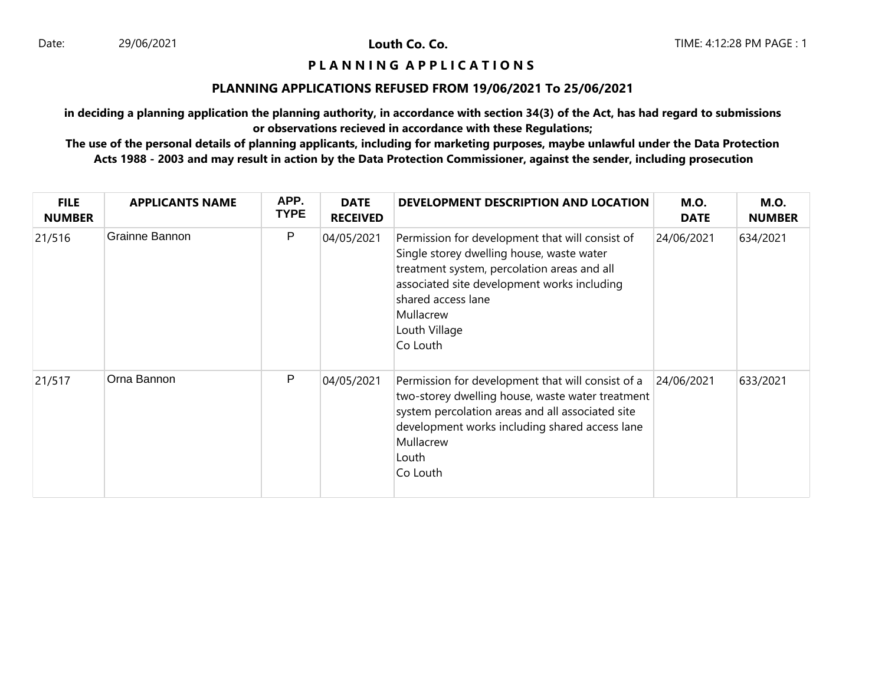Louth Co. Co.

## **P L A N N I N G A P P L I C A T I O N S**

#### **PLANNING APPLICATIONS REFUSED FROM 19/06/2021 To 25/06/2021**

**in deciding a planning application the planning authority, in accordance with section 34(3) of the Act, has had regard to submissions or observations recieved in accordance with these Regulations;**

**The use of the personal details of planning applicants, including for marketing purposes, maybe unlawful under the Data Protection Acts 1988 - 2003 and may result in action by the Data Protection Commissioner, against the sender, including prosecution**

| <b>FILE</b><br><b>NUMBER</b> | <b>APPLICANTS NAME</b> | APP.<br><b>TYPE</b> | <b>DATE</b><br><b>RECEIVED</b> | DEVELOPMENT DESCRIPTION AND LOCATION                                                                                                                                                                                                                       | <b>M.O.</b><br><b>DATE</b> | <b>M.O.</b><br><b>NUMBER</b> |
|------------------------------|------------------------|---------------------|--------------------------------|------------------------------------------------------------------------------------------------------------------------------------------------------------------------------------------------------------------------------------------------------------|----------------------------|------------------------------|
| 21/516                       | Grainne Bannon         | P                   | 04/05/2021                     | Permission for development that will consist of<br>Single storey dwelling house, waste water<br>treatment system, percolation areas and all<br>associated site development works including<br>shared access lane<br>Mullacrew<br>Louth Village<br>Co Louth | 24/06/2021                 | 634/2021                     |
| 21/517                       | Orna Bannon            | P                   | 04/05/2021                     | Permission for development that will consist of a<br>two-storey dwelling house, waste water treatment<br>system percolation areas and all associated site<br>development works including shared access lane<br>Mullacrew<br>Louth<br>Co Louth              | 24/06/2021                 | 633/2021                     |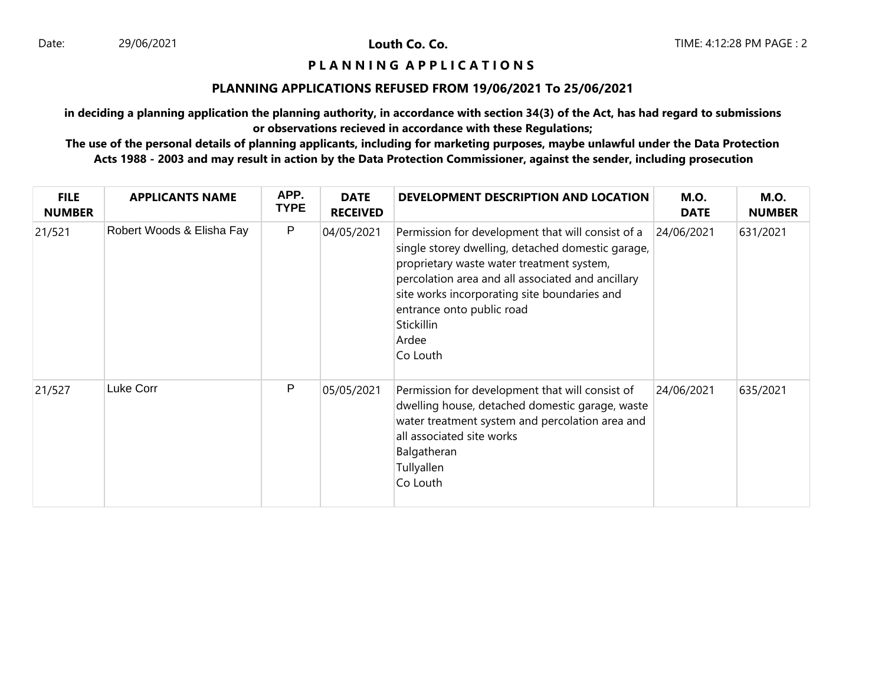Louth Co. Co.

## **P L A N N I N G A P P L I C A T I O N S**

#### **PLANNING APPLICATIONS REFUSED FROM 19/06/2021 To 25/06/2021**

**in deciding a planning application the planning authority, in accordance with section 34(3) of the Act, has had regard to submissions or observations recieved in accordance with these Regulations;**

**The use of the personal details of planning applicants, including for marketing purposes, maybe unlawful under the Data Protection Acts 1988 - 2003 and may result in action by the Data Protection Commissioner, against the sender, including prosecution**

| <b>FILE</b><br><b>NUMBER</b> | <b>APPLICANTS NAME</b>    | APP.<br><b>TYPE</b> | <b>DATE</b><br><b>RECEIVED</b> | DEVELOPMENT DESCRIPTION AND LOCATION                                                                                                                                                                                                                                                                                     | <b>M.O.</b><br><b>DATE</b> | <b>M.O.</b><br><b>NUMBER</b> |
|------------------------------|---------------------------|---------------------|--------------------------------|--------------------------------------------------------------------------------------------------------------------------------------------------------------------------------------------------------------------------------------------------------------------------------------------------------------------------|----------------------------|------------------------------|
| 21/521                       | Robert Woods & Elisha Fay | P                   | 04/05/2021                     | Permission for development that will consist of a<br>single storey dwelling, detached domestic garage,<br>proprietary waste water treatment system,<br>percolation area and all associated and ancillary<br>site works incorporating site boundaries and<br>entrance onto public road<br>Stickillin<br>Ardee<br>Co Louth | 24/06/2021                 | 631/2021                     |
| 21/527                       | Luke Corr                 | P                   | 05/05/2021                     | Permission for development that will consist of<br>dwelling house, detached domestic garage, waste<br>water treatment system and percolation area and<br>all associated site works<br>Balgatheran<br>Tullyallen<br>Co Louth                                                                                              | 24/06/2021                 | 635/2021                     |